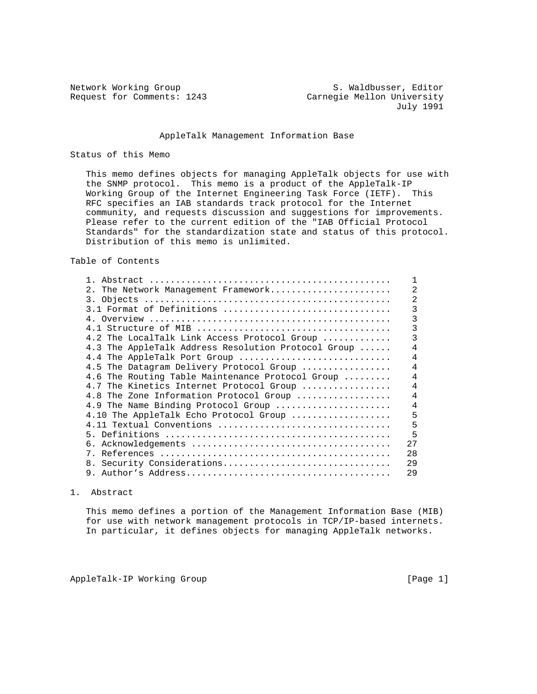Network Working Group S. Waldbusser, Editor Request for Comments: 1243 Carnegie Mellon University July 1991

### AppleTalk Management Information Base

#### Status of this Memo

 This memo defines objects for managing AppleTalk objects for use with the SNMP protocol. This memo is a product of the AppleTalk-IP Working Group of the Internet Engineering Task Force (IETF). This RFC specifies an IAB standards track protocol for the Internet community, and requests discussion and suggestions for improvements. Please refer to the current edition of the "IAB Official Protocol Standards" for the standardization state and status of this protocol. Distribution of this memo is unlimited.

Table of Contents

| 2.<br>The Network Management Framework              |     |
|-----------------------------------------------------|-----|
|                                                     |     |
| 3.1 Format of Definitions                           |     |
|                                                     |     |
|                                                     |     |
| 4.2 The LocalTalk Link Access Protocol Group        |     |
| 4.3 The AppleTalk Address Resolution Protocol Group |     |
| 4.4 The AppleTalk Port Group                        |     |
| 4.5 The Datagram Delivery Protocol Group            | 4   |
| 4.6 The Routing Table Maintenance Protocol Group    | 4   |
| 4.7 The Kinetics Internet Protocol Group            |     |
| 4.8 The Zone Information Protocol Group             | 4   |
| 4.9 The Name Binding Protocol Group                 | 4   |
| 4.10 The AppleTalk Echo Protocol Group              | 5   |
| $4.11$ Textual Conventions                          | 5   |
|                                                     | 5   |
|                                                     | 2.7 |
|                                                     | 28  |
| 8. Security Considerations                          | 29  |
| 9.                                                  | 29  |

### 1. Abstract

 This memo defines a portion of the Management Information Base (MIB) for use with network management protocols in TCP/IP-based internets. In particular, it defines objects for managing AppleTalk networks.

AppleTalk-IP Working Group and the control of the control of the control of the control of the control of the control of the control of the control of the control of the control of the control of the control of the control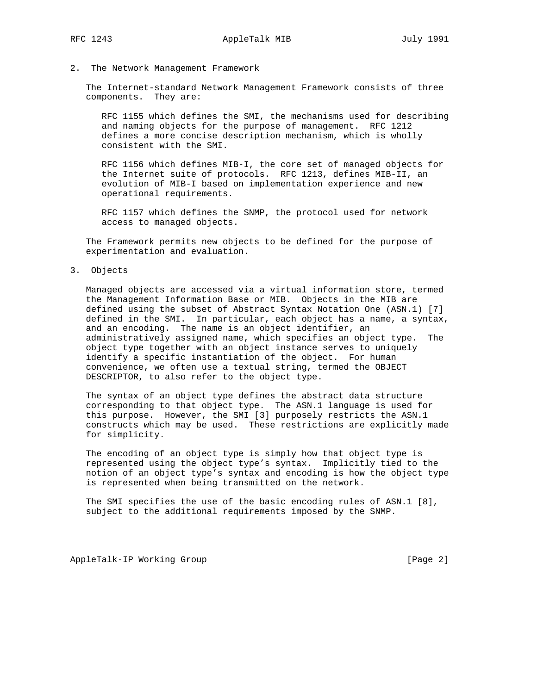#### 2. The Network Management Framework

 The Internet-standard Network Management Framework consists of three components. They are:

 RFC 1155 which defines the SMI, the mechanisms used for describing and naming objects for the purpose of management. RFC 1212 defines a more concise description mechanism, which is wholly consistent with the SMI.

 RFC 1156 which defines MIB-I, the core set of managed objects for the Internet suite of protocols. RFC 1213, defines MIB-II, an evolution of MIB-I based on implementation experience and new operational requirements.

 RFC 1157 which defines the SNMP, the protocol used for network access to managed objects.

 The Framework permits new objects to be defined for the purpose of experimentation and evaluation.

3. Objects

 Managed objects are accessed via a virtual information store, termed the Management Information Base or MIB. Objects in the MIB are defined using the subset of Abstract Syntax Notation One (ASN.1) [7] defined in the SMI. In particular, each object has a name, a syntax, and an encoding. The name is an object identifier, an administratively assigned name, which specifies an object type. The object type together with an object instance serves to uniquely identify a specific instantiation of the object. For human convenience, we often use a textual string, termed the OBJECT DESCRIPTOR, to also refer to the object type.

 The syntax of an object type defines the abstract data structure corresponding to that object type. The ASN.1 language is used for this purpose. However, the SMI [3] purposely restricts the ASN.1 constructs which may be used. These restrictions are explicitly made for simplicity.

 The encoding of an object type is simply how that object type is represented using the object type's syntax. Implicitly tied to the notion of an object type's syntax and encoding is how the object type is represented when being transmitted on the network.

 The SMI specifies the use of the basic encoding rules of ASN.1 [8], subject to the additional requirements imposed by the SNMP.

AppleTalk-IP Working Group **[Page 2]** [Page 2]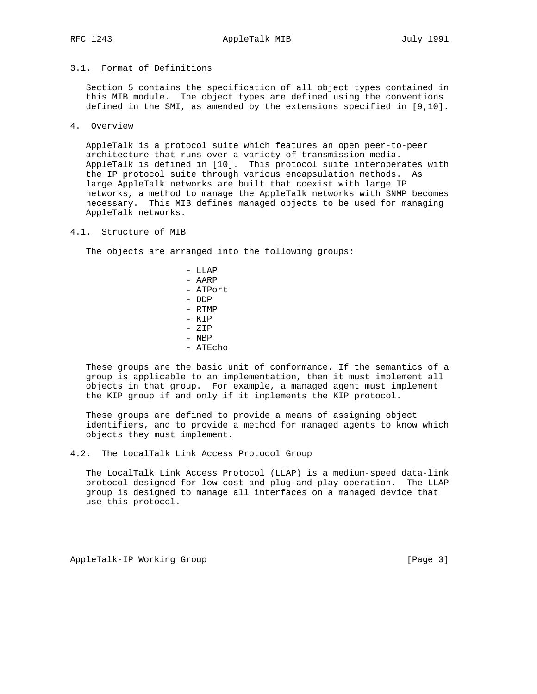# 3.1. Format of Definitions

 Section 5 contains the specification of all object types contained in this MIB module. The object types are defined using the conventions defined in the SMI, as amended by the extensions specified in [9,10].

4. Overview

 AppleTalk is a protocol suite which features an open peer-to-peer architecture that runs over a variety of transmission media. AppleTalk is defined in [10]. This protocol suite interoperates with the IP protocol suite through various encapsulation methods. As large AppleTalk networks are built that coexist with large IP networks, a method to manage the AppleTalk networks with SNMP becomes necessary. This MIB defines managed objects to be used for managing AppleTalk networks.

#### 4.1. Structure of MIB

The objects are arranged into the following groups:

 - LLAP - AARP - ATPort - DDP - RTMP - KIP - ZIP - NBP - ATEcho

 These groups are the basic unit of conformance. If the semantics of a group is applicable to an implementation, then it must implement all objects in that group. For example, a managed agent must implement the KIP group if and only if it implements the KIP protocol.

 These groups are defined to provide a means of assigning object identifiers, and to provide a method for managed agents to know which objects they must implement.

4.2. The LocalTalk Link Access Protocol Group

 The LocalTalk Link Access Protocol (LLAP) is a medium-speed data-link protocol designed for low cost and plug-and-play operation. The LLAP group is designed to manage all interfaces on a managed device that use this protocol.

AppleTalk-IP Working Group and the control of the control of the control of the control of the control of the control of the control of the control of the control of the control of the control of the control of the control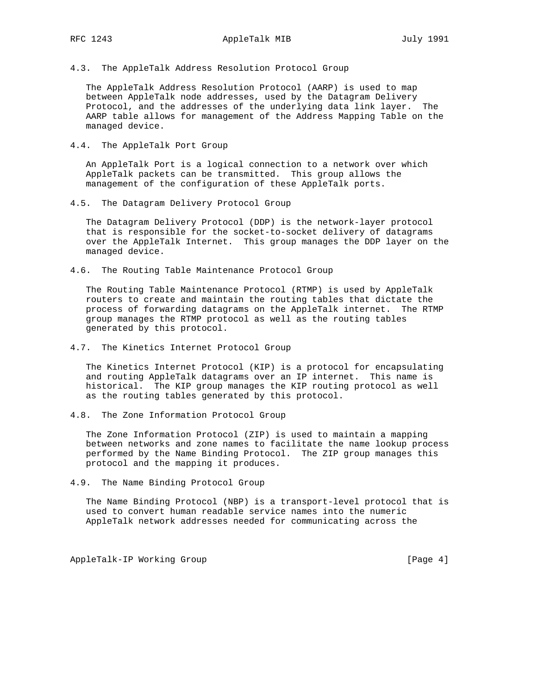4.3. The AppleTalk Address Resolution Protocol Group

 The AppleTalk Address Resolution Protocol (AARP) is used to map between AppleTalk node addresses, used by the Datagram Delivery Protocol, and the addresses of the underlying data link layer. The AARP table allows for management of the Address Mapping Table on the managed device.

4.4. The AppleTalk Port Group

 An AppleTalk Port is a logical connection to a network over which AppleTalk packets can be transmitted. This group allows the management of the configuration of these AppleTalk ports.

4.5. The Datagram Delivery Protocol Group

 The Datagram Delivery Protocol (DDP) is the network-layer protocol that is responsible for the socket-to-socket delivery of datagrams over the AppleTalk Internet. This group manages the DDP layer on the managed device.

4.6. The Routing Table Maintenance Protocol Group

 The Routing Table Maintenance Protocol (RTMP) is used by AppleTalk routers to create and maintain the routing tables that dictate the process of forwarding datagrams on the AppleTalk internet. The RTMP group manages the RTMP protocol as well as the routing tables generated by this protocol.

4.7. The Kinetics Internet Protocol Group

 The Kinetics Internet Protocol (KIP) is a protocol for encapsulating and routing AppleTalk datagrams over an IP internet. This name is historical. The KIP group manages the KIP routing protocol as well as the routing tables generated by this protocol.

4.8. The Zone Information Protocol Group

 The Zone Information Protocol (ZIP) is used to maintain a mapping between networks and zone names to facilitate the name lookup process performed by the Name Binding Protocol. The ZIP group manages this protocol and the mapping it produces.

4.9. The Name Binding Protocol Group

 The Name Binding Protocol (NBP) is a transport-level protocol that is used to convert human readable service names into the numeric AppleTalk network addresses needed for communicating across the

AppleTalk-IP Working Group and the contract of the contract of the page 4]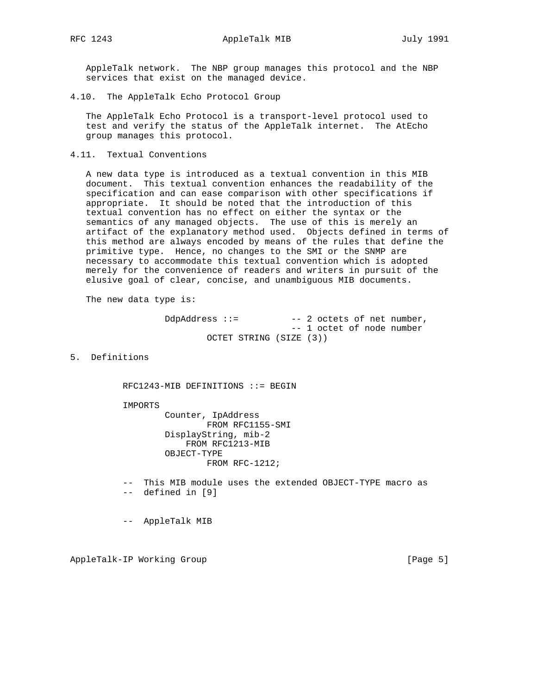AppleTalk network. The NBP group manages this protocol and the NBP services that exist on the managed device.

4.10. The AppleTalk Echo Protocol Group

 The AppleTalk Echo Protocol is a transport-level protocol used to test and verify the status of the AppleTalk internet. The AtEcho group manages this protocol.

4.11. Textual Conventions

 A new data type is introduced as a textual convention in this MIB document. This textual convention enhances the readability of the specification and can ease comparison with other specifications if appropriate. It should be noted that the introduction of this textual convention has no effect on either the syntax or the semantics of any managed objects. The use of this is merely an artifact of the explanatory method used. Objects defined in terms of this method are always encoded by means of the rules that define the primitive type. Hence, no changes to the SMI or the SNMP are necessary to accommodate this textual convention which is adopted merely for the convenience of readers and writers in pursuit of the elusive goal of clear, concise, and unambiguous MIB documents.

The new data type is:

```
DdpAddress ::= -- 2 octets of net number,
                       -- 1 octet of node number
        OCTET STRING (SIZE (3))
```
5. Definitions

RFC1243-MIB DEFINITIONS ::= BEGIN

IMPORTS

 Counter, IpAddress FROM RFC1155-SMI DisplayString, mib-2 FROM RFC1213-MIB OBJECT-TYPE FROM RFC-1212;

 -- This MIB module uses the extended OBJECT-TYPE macro as -- defined in [9]

-- AppleTalk MIB

AppleTalk-IP Working Group and the control of the control of the control of the control of the control of the control of the control of the control of the control of the control of the control of the control of the control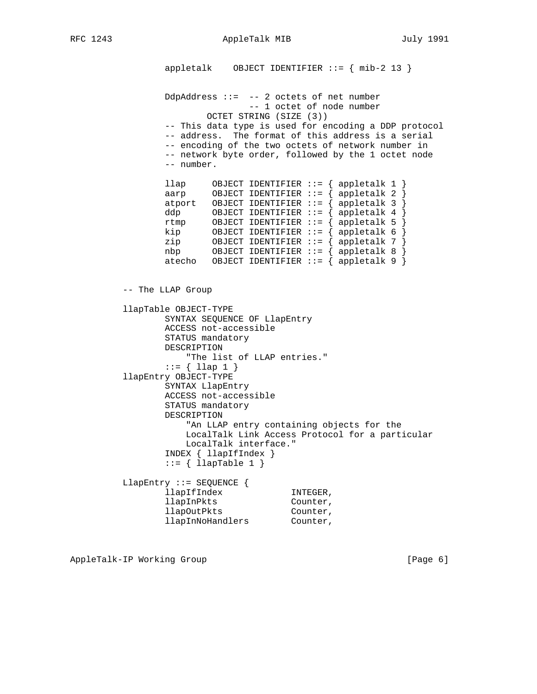RFC 1243 AppleTalk MIB July 1991

appletalk OBJECT IDENTIFIER  $::=$  { mib-2 13 } DdpAddress ::= -- 2 octets of net number -- 1 octet of node number OCTET STRING (SIZE (3)) -- This data type is used for encoding a DDP protocol -- address. The format of this address is a serial -- encoding of the two octets of network number in -- network byte order, followed by the 1 octet node -- number. llap OBJECT IDENTIFIER ::= { appletalk 1 } aarp OBJECT IDENTIFIER ::= { appletalk 2 } atport OBJECT IDENTIFIER ::= { appletalk 3 } ddp OBJECT IDENTIFIER ::= { appletalk 4 } rtmp OBJECT IDENTIFIER ::= { appletalk 5 } kip OBJECT IDENTIFIER ::= { appletalk 6 } zip OBJECT IDENTIFIER ::= { appletalk 7 } nbp OBJECT IDENTIFIER ::= { appletalk 8 } atecho OBJECT IDENTIFIER ::=  $\{$  appletalk 9  $\}$  -- The LLAP Group llapTable OBJECT-TYPE SYNTAX SEQUENCE OF LlapEntry ACCESS not-accessible STATUS mandatory DESCRIPTION "The list of LLAP entries."  $::= \{$  llap 1  $\}$  llapEntry OBJECT-TYPE SYNTAX LlapEntry ACCESS not-accessible STATUS mandatory DESCRIPTION "An LLAP entry containing objects for the LocalTalk Link Access Protocol for a particular LocalTalk interface." INDEX { llapIfIndex }  $::=$  { llapTable 1 } LlapEntry ::= SEQUENCE { 11ap1fIndex INTEGER,<br>11ap1nPkts Counter,<br>11ap0utPkts Counter, llapInPkts Counter, llapOutPkts Counter, llapInNoHandlers Counter,

AppleTalk-IP Working Group and the control of the control of the control of the control of the control of the control of the control of the control of the control of the control of the control of the control of the control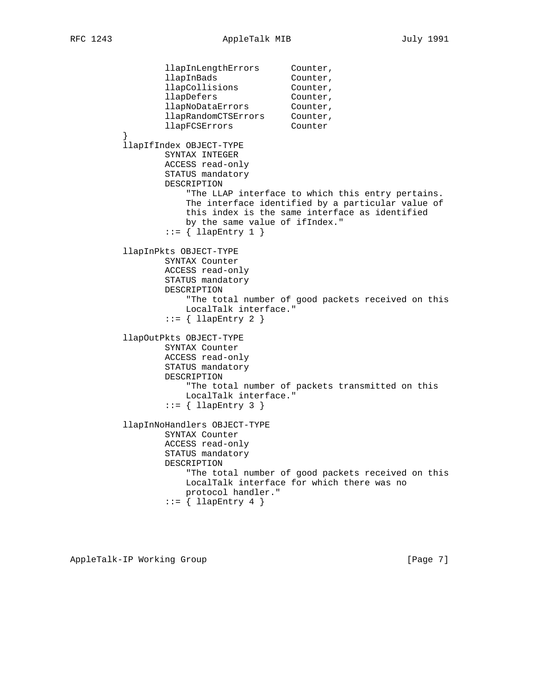llapInLengthErrors Counter, llapInBads Counter, llapCollisions Counter, llapDefers Counter, llapNoDataErrors Counter, llapRandomCTSErrors Counter, llapFCSErrors Counter } llapIfIndex OBJECT-TYPE SYNTAX INTEGER ACCESS read-only STATUS mandatory DESCRIPTION "The LLAP interface to which this entry pertains. The interface identified by a particular value of this index is the same interface as identified by the same value of ifIndex."  $::=$  { llapEntry 1 } llapInPkts OBJECT-TYPE SYNTAX Counter ACCESS read-only STATUS mandatory DESCRIPTION "The total number of good packets received on this LocalTalk interface."  $::=$  { llapEntry 2 } llapOutPkts OBJECT-TYPE SYNTAX Counter ACCESS read-only STATUS mandatory DESCRIPTION "The total number of packets transmitted on this LocalTalk interface."  $::=$  { llapEntry 3 } llapInNoHandlers OBJECT-TYPE SYNTAX Counter ACCESS read-only STATUS mandatory DESCRIPTION "The total number of good packets received on this LocalTalk interface for which there was no protocol handler."  $::= \{$  llapEntry 4  $\}$ 

AppleTalk-IP Working Group and the control of the control of the page 7]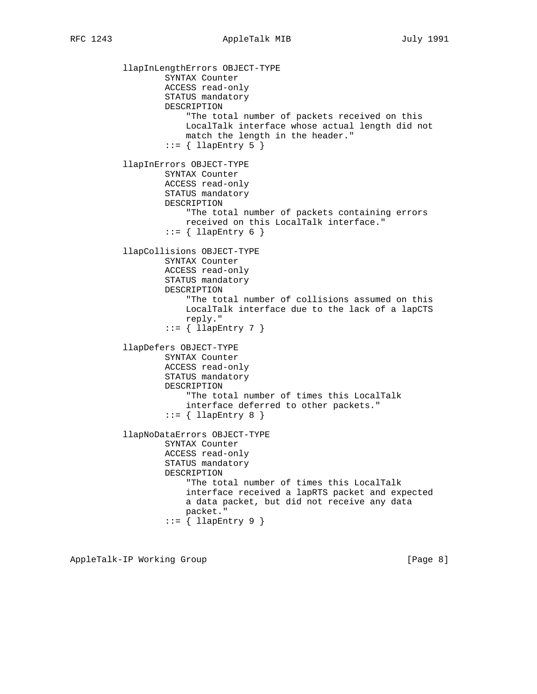llapInLengthErrors OBJECT-TYPE SYNTAX Counter ACCESS read-only STATUS mandatory DESCRIPTION "The total number of packets received on this LocalTalk interface whose actual length did not match the length in the header."  $::=$  { llapEntry 5 } llapInErrors OBJECT-TYPE SYNTAX Counter ACCESS read-only STATUS mandatory DESCRIPTION "The total number of packets containing errors received on this LocalTalk interface."  $::=$  { llapEntry 6 } llapCollisions OBJECT-TYPE SYNTAX Counter ACCESS read-only STATUS mandatory DESCRIPTION "The total number of collisions assumed on this LocalTalk interface due to the lack of a lapCTS reply."  $::= \{$  llapEntry 7  $\}$  llapDefers OBJECT-TYPE SYNTAX Counter ACCESS read-only STATUS mandatory DESCRIPTION "The total number of times this LocalTalk interface deferred to other packets."  $::=$  { llapEntry 8 } llapNoDataErrors OBJECT-TYPE SYNTAX Counter ACCESS read-only STATUS mandatory DESCRIPTION "The total number of times this LocalTalk interface received a lapRTS packet and expected a data packet, but did not receive any data packet."  $::=$   $\{$  llapEntry 9  $\}$ 

AppleTalk-IP Working Group and the control of the control of the control of the control of the control of the control of the control of the control of the control of the control of the control of the control of the control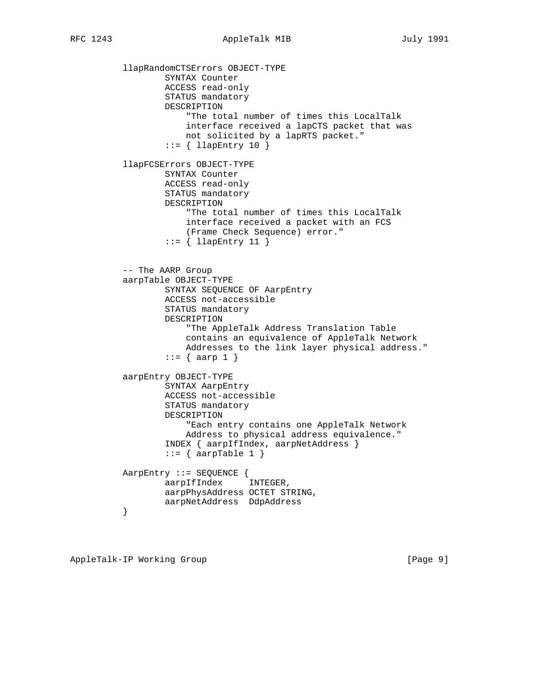llapRandomCTSErrors OBJECT-TYPE SYNTAX Counter ACCESS read-only STATUS mandatory DESCRIPTION "The total number of times this LocalTalk interface received a lapCTS packet that was not solicited by a lapRTS packet." ::= { llapEntry 10 } llapFCSErrors OBJECT-TYPE SYNTAX Counter ACCESS read-only STATUS mandatory DESCRIPTION "The total number of times this LocalTalk interface received a packet with an FCS (Frame Check Sequence) error."  $::= \{$  llapEntry 11  $\}$  -- The AARP Group aarpTable OBJECT-TYPE SYNTAX SEQUENCE OF AarpEntry ACCESS not-accessible STATUS mandatory DESCRIPTION "The AppleTalk Address Translation Table contains an equivalence of AppleTalk Network Addresses to the link layer physical address."  $::= \{ \text{aarp 1 } \}$  aarpEntry OBJECT-TYPE SYNTAX AarpEntry ACCESS not-accessible STATUS mandatory DESCRIPTION "Each entry contains one AppleTalk Network Address to physical address equivalence." INDEX { aarpIfIndex, aarpNetAddress }  $::= \{ \text{aarpTable 1 } \}$  AarpEntry ::= SEQUENCE { aarpIfIndex INTEGER, aarpPhysAddress OCTET STRING, aarpNetAddress DdpAddress

}

AppleTalk-IP Working Group **[Page 9]** [Page 9]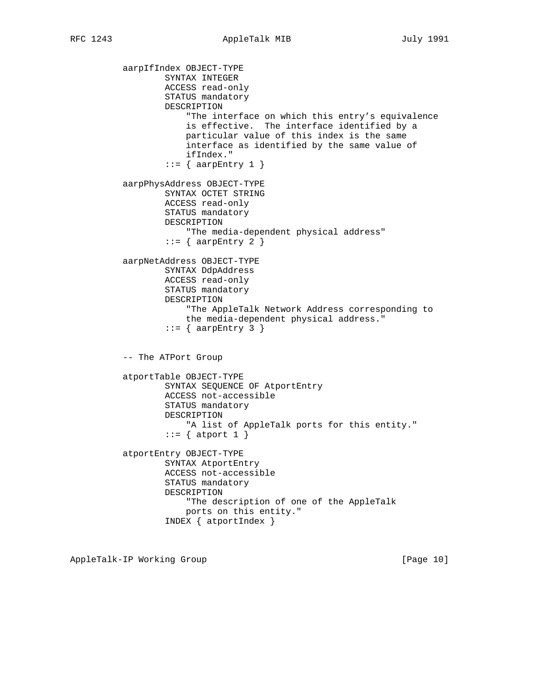aarpIfIndex OBJECT-TYPE SYNTAX INTEGER ACCESS read-only STATUS mandatory DESCRIPTION "The interface on which this entry's equivalence is effective. The interface identified by a particular value of this index is the same interface as identified by the same value of ifIndex."  $::=$  { aarpEntry 1 } aarpPhysAddress OBJECT-TYPE SYNTAX OCTET STRING ACCESS read-only STATUS mandatory DESCRIPTION "The media-dependent physical address"  $::=$  { aarpEntry 2 } aarpNetAddress OBJECT-TYPE SYNTAX DdpAddress ACCESS read-only STATUS mandatory DESCRIPTION "The AppleTalk Network Address corresponding to the media-dependent physical address."  $::=$  { aarpEntry 3 } -- The ATPort Group atportTable OBJECT-TYPE SYNTAX SEQUENCE OF AtportEntry ACCESS not-accessible STATUS mandatory DESCRIPTION "A list of AppleTalk ports for this entity."  $::=$  { atport 1 } atportEntry OBJECT-TYPE SYNTAX AtportEntry ACCESS not-accessible STATUS mandatory DESCRIPTION "The description of one of the AppleTalk ports on this entity." INDEX { atportIndex }

AppleTalk-IP Working Group **[Page 10]** [Page 10]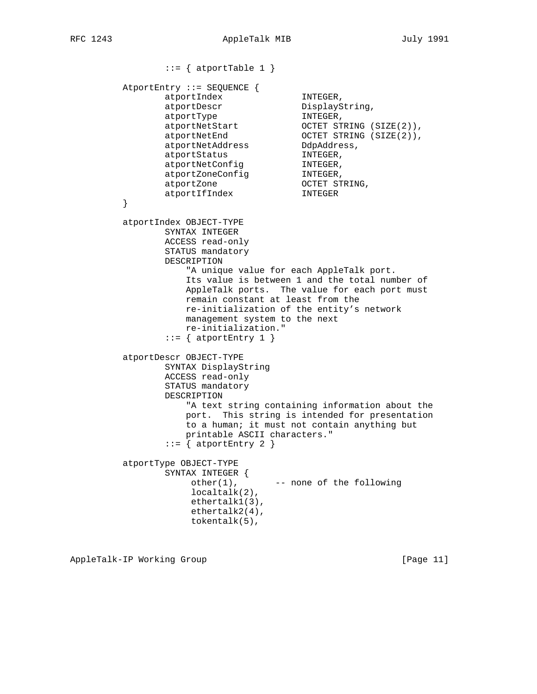```
::= { atportTable 1 }
        AtportEntry ::= SEQUENCE {
               atportIndex INTEGER,
atportDescr DisplayString,
atportType in the INTEGER,
 atportNetStart OCTET STRING (SIZE(2)),
atportNetEnd OCTET STRING (SIZE(2)),
               atportNetAddress DdpAddress,
atportStatus MINTEGER,
atportNetConfig MINTEGER,
atportZoneConfig MINTEGER,
atportZone oCTET STRING,
 atportIfIndex INTEGER
 }
        atportIndex OBJECT-TYPE
               SYNTAX INTEGER
               ACCESS read-only
               STATUS mandatory
               DESCRIPTION
                  "A unique value for each AppleTalk port.
                  Its value is between 1 and the total number of
                  AppleTalk ports. The value for each port must
                  remain constant at least from the
                  re-initialization of the entity's network
                  management system to the next
                  re-initialization."
              ::= { atportEntry 1 }
         atportDescr OBJECT-TYPE
               SYNTAX DisplayString
               ACCESS read-only
               STATUS mandatory
               DESCRIPTION
                  "A text string containing information about the
                  port. This string is intended for presentation
                  to a human; it must not contain anything but
                  printable ASCII characters."
              ::= { atportEntry 2 }
        atportType OBJECT-TYPE
               SYNTAX INTEGER {
                  other(1), --- none of the following
                   localtalk(2),
                   ethertalk1(3),
                   ethertalk2(4),
                   tokentalk(5),
```
AppleTalk-IP Working Group **[Page 11]** [Page 11]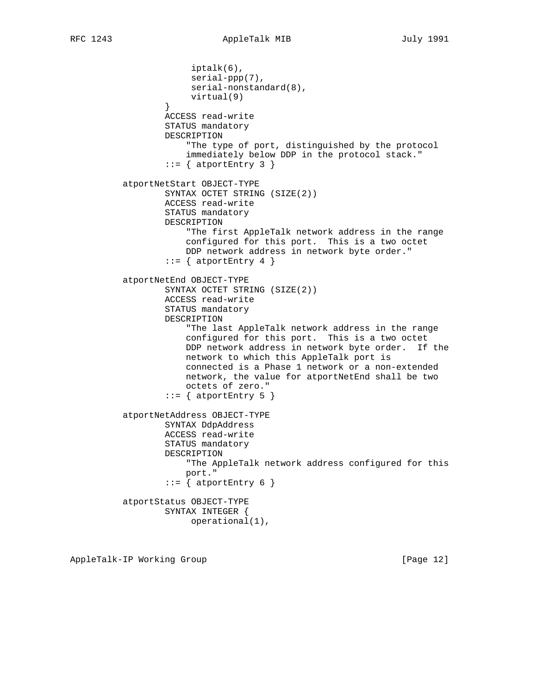iptalk(6), serial-ppp(7), serial-nonstandard(8), virtual(9) } ACCESS read-write STATUS mandatory DESCRIPTION "The type of port, distinguished by the protocol immediately below DDP in the protocol stack."  $::=$  { atportEntry 3 } atportNetStart OBJECT-TYPE SYNTAX OCTET STRING (SIZE(2)) ACCESS read-write STATUS mandatory DESCRIPTION "The first AppleTalk network address in the range configured for this port. This is a two octet DDP network address in network byte order."  $::=$  { atportEntry 4 } atportNetEnd OBJECT-TYPE SYNTAX OCTET STRING (SIZE(2)) ACCESS read-write STATUS mandatory DESCRIPTION "The last AppleTalk network address in the range configured for this port. This is a two octet DDP network address in network byte order. If the network to which this AppleTalk port is connected is a Phase 1 network or a non-extended network, the value for atportNetEnd shall be two octets of zero."  $::=$  { atportEntry 5 } atportNetAddress OBJECT-TYPE SYNTAX DdpAddress ACCESS read-write STATUS mandatory DESCRIPTION "The AppleTalk network address configured for this port."  $::=$  { atportEntry 6 } atportStatus OBJECT-TYPE SYNTAX INTEGER { operational(1),

AppleTalk-IP Working Group **[Page 12]** [Page 12]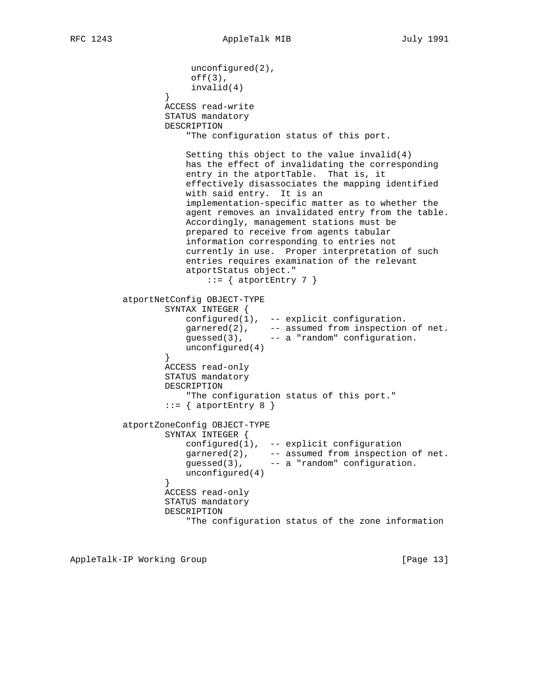```
 unconfigured(2),
                     off(3),
                      invalid(4)
 }
                 ACCESS read-write
                 STATUS mandatory
                 DESCRIPTION
                     "The configuration status of this port.
                     Setting this object to the value invalid(4)
                     has the effect of invalidating the corresponding
                     entry in the atportTable. That is, it
                     effectively disassociates the mapping identified
                     with said entry. It is an
                     implementation-specific matter as to whether the
                     agent removes an invalidated entry from the table.
                     Accordingly, management stations must be
                     prepared to receive from agents tabular
                     information corresponding to entries not
                     currently in use. Proper interpretation of such
                     entries requires examination of the relevant
                     atportStatus object."
                       ::= \{ atportEntry 7 \} atportNetConfig OBJECT-TYPE
                 SYNTAX INTEGER {
                    configured(1), -- explicit configuration.
 garnered(2), -- assumed from inspection of net.
 guessed(3), -- a "random" configuration.
                unconfigured(4)<br>}
 }
                 ACCESS read-only
                 STATUS mandatory
                 DESCRIPTION
                     "The configuration status of this port."
                ::= { atportEntry 8 }
          atportZoneConfig OBJECT-TYPE
                 SYNTAX INTEGER {
                     configured(1), -- explicit configuration
 garnered(2), -- assumed from inspection of net.
 guessed(3), -- a "random" configuration.
                     unconfigured(4)
 }
                 ACCESS read-only
                 STATUS mandatory
                 DESCRIPTION
                     "The configuration status of the zone information
```
AppleTalk-IP Working Group **[Page 13]**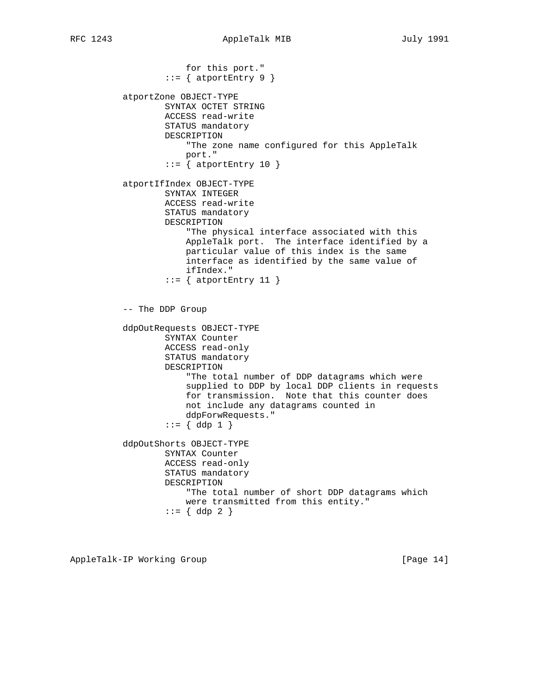for this port."  $::=$  { atportEntry 9 } atportZone OBJECT-TYPE SYNTAX OCTET STRING ACCESS read-write STATUS mandatory DESCRIPTION "The zone name configured for this AppleTalk port."  $::=$  { atportEntry 10 } atportIfIndex OBJECT-TYPE SYNTAX INTEGER ACCESS read-write STATUS mandatory DESCRIPTION "The physical interface associated with this AppleTalk port. The interface identified by a particular value of this index is the same interface as identified by the same value of ifIndex."  $::=$  { atportEntry 11 } -- The DDP Group ddpOutRequests OBJECT-TYPE SYNTAX Counter ACCESS read-only STATUS mandatory DESCRIPTION "The total number of DDP datagrams which were supplied to DDP by local DDP clients in requests for transmission. Note that this counter does not include any datagrams counted in ddpForwRequests."  $::= \{ \text{ ddp } 1 \}$  ddpOutShorts OBJECT-TYPE SYNTAX Counter ACCESS read-only STATUS mandatory DESCRIPTION "The total number of short DDP datagrams which were transmitted from this entity." ::= { ddp 2 }

AppleTalk-IP Working Group **[Page 14]** [Page 14]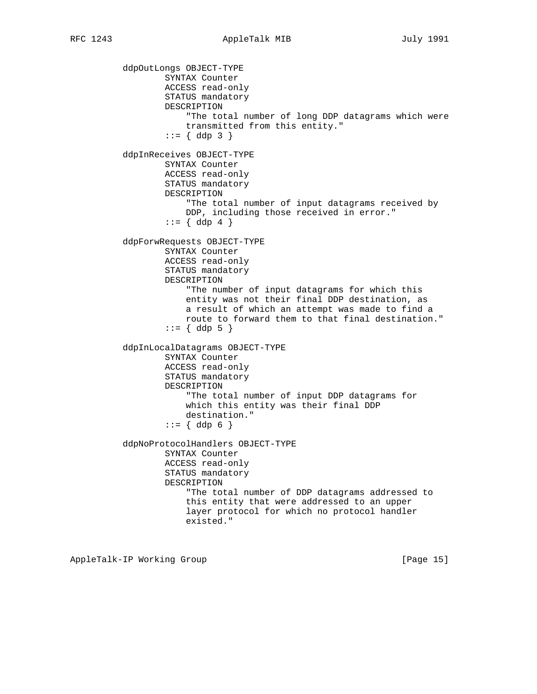ddpOutLongs OBJECT-TYPE SYNTAX Counter ACCESS read-only STATUS mandatory DESCRIPTION "The total number of long DDP datagrams which were transmitted from this entity."  $::= \{ \text{ ddp } 3 \}$  ddpInReceives OBJECT-TYPE SYNTAX Counter ACCESS read-only STATUS mandatory DESCRIPTION "The total number of input datagrams received by DDP, including those received in error."  $::= \{ \text{ddp } 4 \}$  ddpForwRequests OBJECT-TYPE SYNTAX Counter ACCESS read-only STATUS mandatory DESCRIPTION "The number of input datagrams for which this entity was not their final DDP destination, as a result of which an attempt was made to find a route to forward them to that final destination."  $: := \{ \text{ddp } 5 \}$  ddpInLocalDatagrams OBJECT-TYPE SYNTAX Counter ACCESS read-only STATUS mandatory DESCRIPTION "The total number of input DDP datagrams for which this entity was their final DDP destination."  $::= \{ \text{ddp } 6 \}$  ddpNoProtocolHandlers OBJECT-TYPE SYNTAX Counter ACCESS read-only STATUS mandatory DESCRIPTION "The total number of DDP datagrams addressed to this entity that were addressed to an upper layer protocol for which no protocol handler existed."

AppleTalk-IP Working Group **[Page 15]** [Page 15]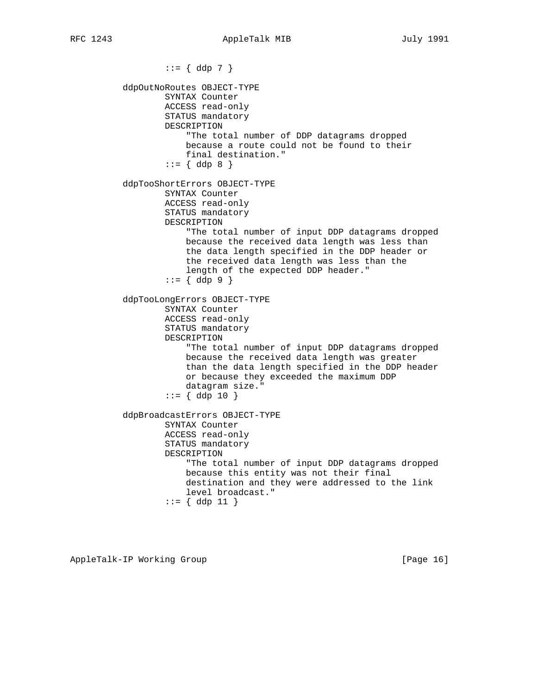$::= \{ ddp 7 \}$  ddpOutNoRoutes OBJECT-TYPE SYNTAX Counter ACCESS read-only STATUS mandatory DESCRIPTION "The total number of DDP datagrams dropped because a route could not be found to their final destination."  $::= \{ \text{ ddp } 8 \}$  ddpTooShortErrors OBJECT-TYPE SYNTAX Counter ACCESS read-only STATUS mandatory DESCRIPTION "The total number of input DDP datagrams dropped because the received data length was less than the data length specified in the DDP header or the received data length was less than the length of the expected DDP header." ::= { ddp 9 } ddpTooLongErrors OBJECT-TYPE SYNTAX Counter ACCESS read-only STATUS mandatory DESCRIPTION "The total number of input DDP datagrams dropped because the received data length was greater than the data length specified in the DDP header or because they exceeded the maximum DDP datagram size."  $::= \{ ddp 10 \}$  ddpBroadcastErrors OBJECT-TYPE SYNTAX Counter ACCESS read-only STATUS mandatory DESCRIPTION "The total number of input DDP datagrams dropped because this entity was not their final destination and they were addressed to the link level broadcast."  $::= \{ \text{ddp } 11 \}$ 

AppleTalk-IP Working Group **[Page 16]** [Page 16]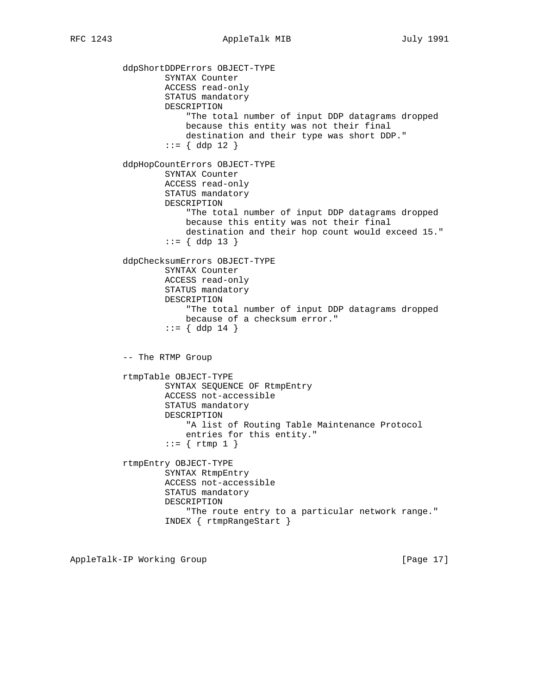ddpShortDDPErrors OBJECT-TYPE SYNTAX Counter ACCESS read-only STATUS mandatory DESCRIPTION "The total number of input DDP datagrams dropped because this entity was not their final destination and their type was short DDP." ::= { ddp 12 } ddpHopCountErrors OBJECT-TYPE SYNTAX Counter ACCESS read-only STATUS mandatory DESCRIPTION "The total number of input DDP datagrams dropped because this entity was not their final destination and their hop count would exceed 15."  $::= \{ \text{ddp } 13 \}$  ddpChecksumErrors OBJECT-TYPE SYNTAX Counter ACCESS read-only STATUS mandatory DESCRIPTION "The total number of input DDP datagrams dropped because of a checksum error."  $::= \{ \text{ddp } 14 \}$  -- The RTMP Group rtmpTable OBJECT-TYPE SYNTAX SEQUENCE OF RtmpEntry ACCESS not-accessible STATUS mandatory DESCRIPTION "A list of Routing Table Maintenance Protocol entries for this entity."  $::=$  { rtmp 1 } rtmpEntry OBJECT-TYPE SYNTAX RtmpEntry ACCESS not-accessible STATUS mandatory DESCRIPTION "The route entry to a particular network range." INDEX { rtmpRangeStart }

AppleTalk-IP Working Group **[Page 17]** [Page 17]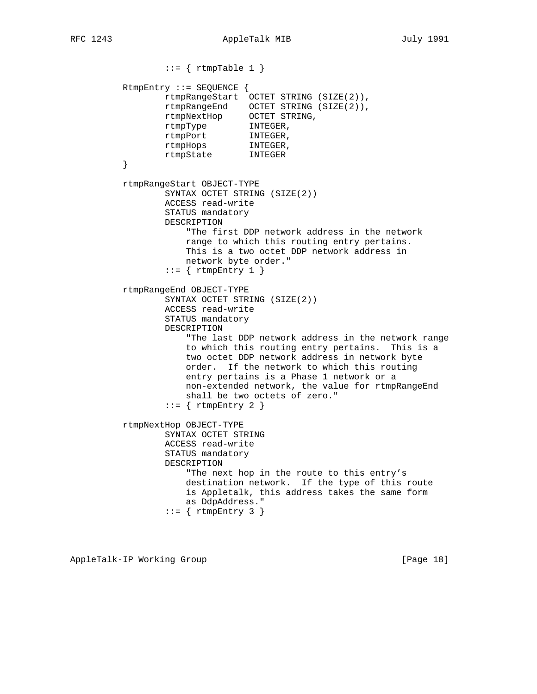```
::= { rtmpTable 1 }
           RtmpEntry ::= SEQUENCE {
                   rtmpRangeStart OCTET STRING (SIZE(2)),
 rtmpRangeEnd OCTET STRING (SIZE(2)),
 rtmpNextHop OCTET STRING,
 rtmpType INTEGER,
 rtmpPort INTEGER,
                  rtmpHops INTEGER,
          \begin{tabular}{ll} \bf \end{tabular} \begin{tabular}{ll} \bf \end{tabular} \begin{tabular}{ll} \bf \end{tabular} \begin{tabular}{ll} \bf \end{tabular} \end{tabular} }
           rtmpRangeStart OBJECT-TYPE
                   SYNTAX OCTET STRING (SIZE(2))
                   ACCESS read-write
                   STATUS mandatory
                   DESCRIPTION
                        "The first DDP network address in the network
                       range to which this routing entry pertains.
                       This is a two octet DDP network address in
                       network byte order."
                   ::= { rtmpEntry 1 }
           rtmpRangeEnd OBJECT-TYPE
                   SYNTAX OCTET STRING (SIZE(2))
                   ACCESS read-write
                   STATUS mandatory
                   DESCRIPTION
                        "The last DDP network address in the network range
                       to which this routing entry pertains. This is a
                       two octet DDP network address in network byte
                       order. If the network to which this routing
                       entry pertains is a Phase 1 network or a
                       non-extended network, the value for rtmpRangeEnd
                       shall be two octets of zero."
                   ::= { rtmpEntry 2 }
           rtmpNextHop OBJECT-TYPE
                   SYNTAX OCTET STRING
                   ACCESS read-write
                   STATUS mandatory
                   DESCRIPTION
                       "The next hop in the route to this entry's
                       destination network. If the type of this route
                       is Appletalk, this address takes the same form
                       as DdpAddress."
                   ::= { rtmpEntry 3 }
```
AppleTalk-IP Working Group **[Page 18]** [Page 18]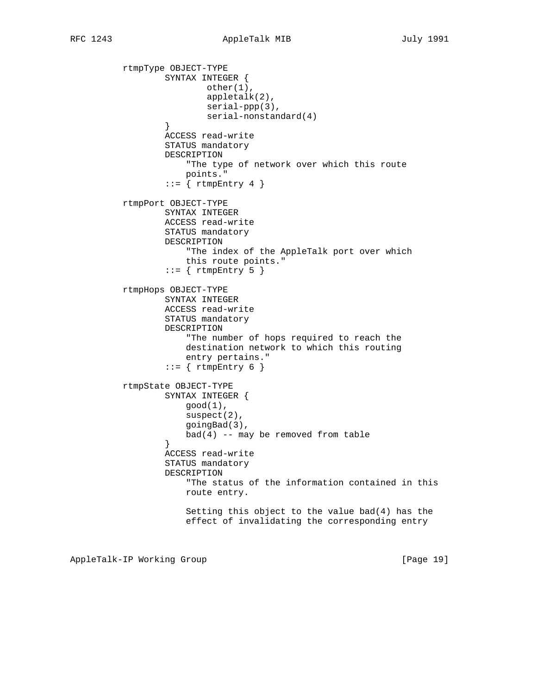rtmpType OBJECT-TYPE SYNTAX INTEGER { other(1), appletalk(2), serial-ppp(3), serial-nonstandard(4)<br>} } ACCESS read-write STATUS mandatory DESCRIPTION "The type of network over which this route points."  $::=$  { rtmpEntry 4 } rtmpPort OBJECT-TYPE SYNTAX INTEGER ACCESS read-write STATUS mandatory DESCRIPTION "The index of the AppleTalk port over which this route points."  $::=$  { rtmpEntry 5 } rtmpHops OBJECT-TYPE SYNTAX INTEGER ACCESS read-write STATUS mandatory DESCRIPTION "The number of hops required to reach the destination network to which this routing entry pertains."  $::= \{ rtmpEntry 6 \}$  rtmpState OBJECT-TYPE SYNTAX INTEGER {  $good(1)$ , suspect(2), goingBad(3),  $bad(4) -- may be removed from table$  } ACCESS read-write STATUS mandatory DESCRIPTION "The status of the information contained in this route entry. Setting this object to the value bad(4) has the effect of invalidating the corresponding entry

AppleTalk-IP Working Group **[Page 19]** [Page 19]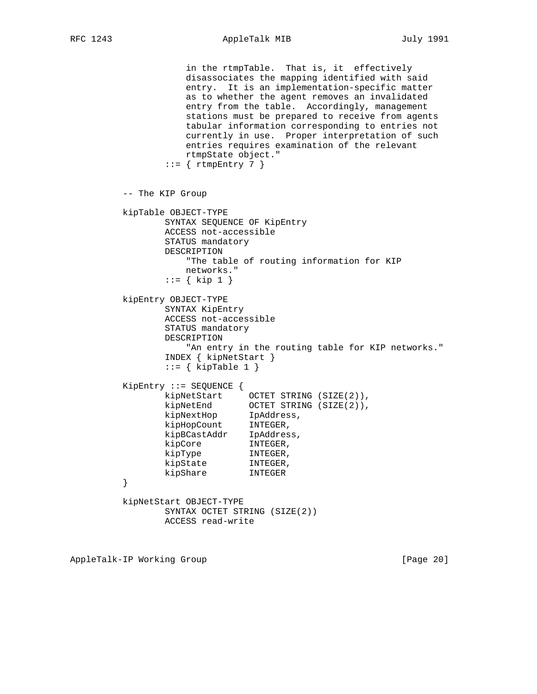RFC 1243 AppleTalk MIB July 1991

 in the rtmpTable. That is, it effectively disassociates the mapping identified with said entry. It is an implementation-specific matter as to whether the agent removes an invalidated entry from the table. Accordingly, management stations must be prepared to receive from agents tabular information corresponding to entries not currently in use. Proper interpretation of such entries requires examination of the relevant rtmpState object."  $::=$  { rtmpEntry 7 } -- The KIP Group kipTable OBJECT-TYPE SYNTAX SEQUENCE OF KipEntry ACCESS not-accessible STATUS mandatory DESCRIPTION "The table of routing information for KIP networks." ::= { kip 1 } kipEntry OBJECT-TYPE SYNTAX KipEntry ACCESS not-accessible STATUS mandatory DESCRIPTION "An entry in the routing table for KIP networks." INDEX { kipNetStart }  $::=$  { kipTable 1 } KipEntry ::= SEQUENCE { kipNetStart OCTET STRING (SIZE(2)), kipNetEnd OCTET STRING (SIZE(2)), kipNextHop IpAddress, kipHopCount INTEGER, kipBCastAddr IpAddress, kipCore INTEGER,<br>kipType INTEGER, kipType INTEGER, kipState INTEGER, kipShare INTEGER } kipNetStart OBJECT-TYPE SYNTAX OCTET STRING (SIZE(2)) ACCESS read-write

AppleTalk-IP Working Group **[Page 20]** [Page 20]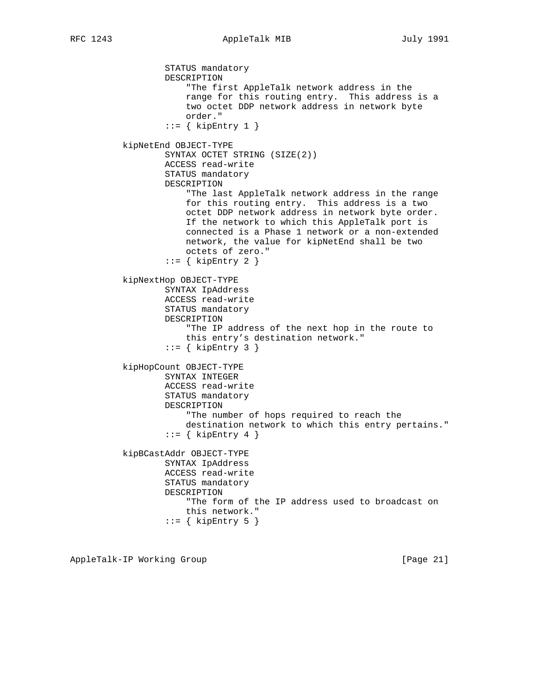STATUS mandatory DESCRIPTION "The first AppleTalk network address in the range for this routing entry. This address is a two octet DDP network address in network byte order."  $::=$  { kipEntry 1 } kipNetEnd OBJECT-TYPE SYNTAX OCTET STRING (SIZE(2)) ACCESS read-write STATUS mandatory DESCRIPTION "The last AppleTalk network address in the range for this routing entry. This address is a two octet DDP network address in network byte order. If the network to which this AppleTalk port is connected is a Phase 1 network or a non-extended network, the value for kipNetEnd shall be two octets of zero."  $::=$  { kipEntry 2 } kipNextHop OBJECT-TYPE SYNTAX IpAddress ACCESS read-write STATUS mandatory DESCRIPTION "The IP address of the next hop in the route to this entry's destination network."  $::=$  { kipEntry 3 } kipHopCount OBJECT-TYPE SYNTAX INTEGER ACCESS read-write STATUS mandatory DESCRIPTION "The number of hops required to reach the destination network to which this entry pertains."  $::=$  { kipEntry 4 } kipBCastAddr OBJECT-TYPE SYNTAX IpAddress ACCESS read-write STATUS mandatory DESCRIPTION "The form of the IP address used to broadcast on this network."  $::=$  { kipEntry 5 }

AppleTalk-IP Working Group **[Page 21]** [Page 21]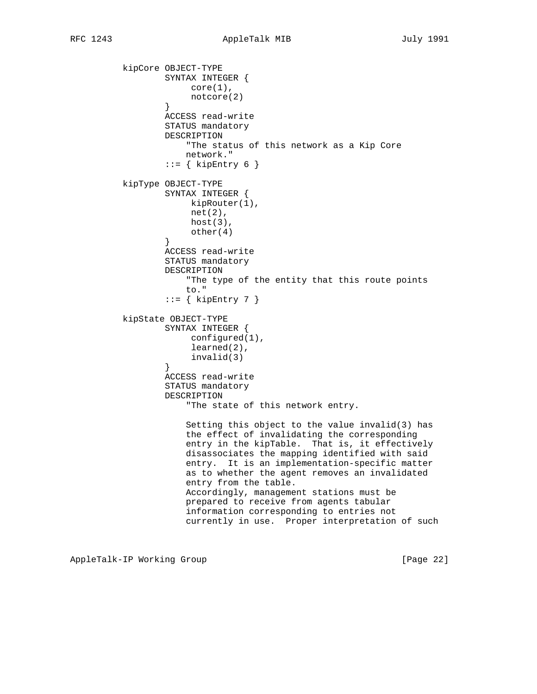kipCore OBJECT-TYPE SYNTAX INTEGER { core(1), notcore(2) } ACCESS read-write STATUS mandatory DESCRIPTION "The status of this network as a Kip Core network."  $::= \{$  kipEntry 6  $\}$  kipType OBJECT-TYPE SYNTAX INTEGER { kipRouter(1), net(2), host(3), other(4) } ACCESS read-write STATUS mandatory DESCRIPTION "The type of the entity that this route points to."  $::=$  { kipEntry 7 } kipState OBJECT-TYPE SYNTAX INTEGER { configured(1), learned(2), invalid(3) } ACCESS read-write STATUS mandatory DESCRIPTION "The state of this network entry. Setting this object to the value invalid(3) has the effect of invalidating the corresponding entry in the kipTable. That is, it effectively disassociates the mapping identified with said entry. It is an implementation-specific matter as to whether the agent removes an invalidated entry from the table. Accordingly, management stations must be prepared to receive from agents tabular information corresponding to entries not currently in use. Proper interpretation of such

AppleTalk-IP Working Group **[Page 22]**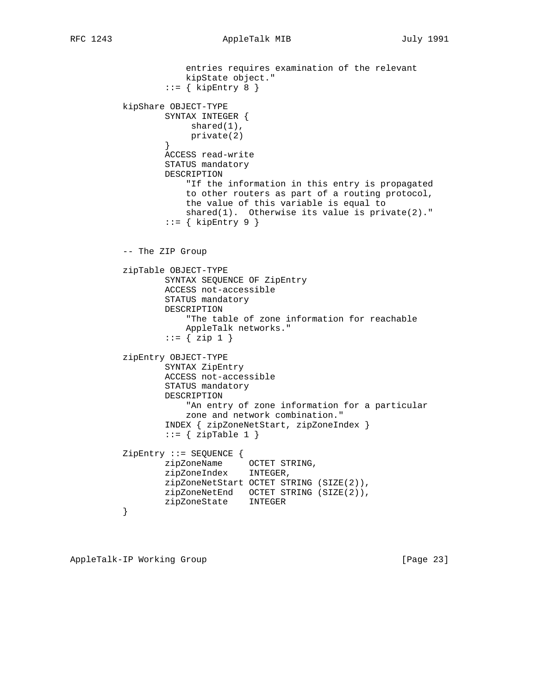```
 entries requires examination of the relevant
                      kipState object."
                  ::= { kipEntry 8 }
          kipShare OBJECT-TYPE
                  SYNTAX INTEGER {
                       shared(1),
                  private(2)<br>}
 }
                  ACCESS read-write
                  STATUS mandatory
                  DESCRIPTION
                       "If the information in this entry is propagated
                      to other routers as part of a routing protocol,
                      the value of this variable is equal to
                      shared(1). Otherwise its value is private(2)."
                   ::= { kipEntry 9 }
          -- The ZIP Group
          zipTable OBJECT-TYPE
                  SYNTAX SEQUENCE OF ZipEntry
                  ACCESS not-accessible
                  STATUS mandatory
                  DESCRIPTION
                       "The table of zone information for reachable
                      AppleTalk networks."
                  ::= { zip 1 } zipEntry OBJECT-TYPE
                  SYNTAX ZipEntry
                  ACCESS not-accessible
                  STATUS mandatory
                  DESCRIPTION
                       "An entry of zone information for a particular
                       zone and network combination."
                   INDEX { zipZoneNetStart, zipZoneIndex }
                  ::= { zipTable 1 }
          ZipEntry ::= SEQUENCE {
                  zipZoneName OCTET STRING,
                  zipZoneIndex INTEGER,
                  zipZoneNetStart OCTET STRING (SIZE(2)),
                  zipZoneNetEnd OCTET STRING (SIZE(2)),
          zipZoneState INTEGER<br>}
 }
```
AppleTalk-IP Working Group **[Page 23]**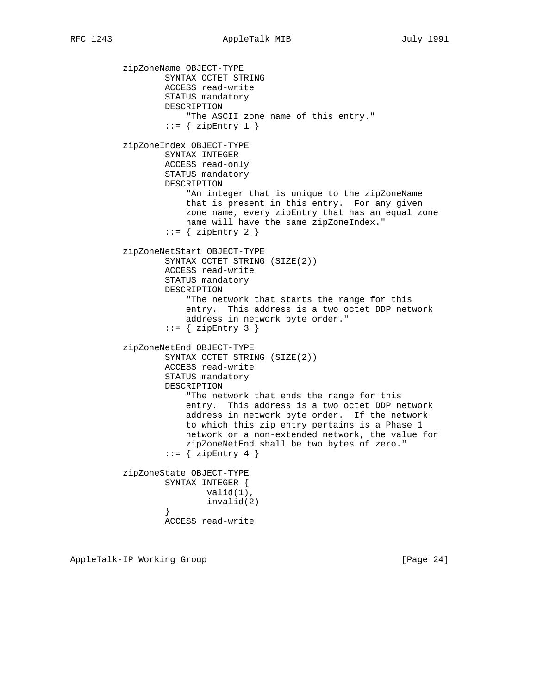zipZoneName OBJECT-TYPE SYNTAX OCTET STRING ACCESS read-write STATUS mandatory DESCRIPTION "The ASCII zone name of this entry." ::=  $\{$  zipEntry 1  $\}$  zipZoneIndex OBJECT-TYPE SYNTAX INTEGER ACCESS read-only STATUS mandatory DESCRIPTION "An integer that is unique to the zipZoneName that is present in this entry. For any given zone name, every zipEntry that has an equal zone name will have the same zipZoneIndex."  $::=$  { zipEntry 2 } zipZoneNetStart OBJECT-TYPE SYNTAX OCTET STRING (SIZE(2)) ACCESS read-write STATUS mandatory DESCRIPTION "The network that starts the range for this entry. This address is a two octet DDP network address in network byte order."  $::=$  { zipEntry 3 } zipZoneNetEnd OBJECT-TYPE SYNTAX OCTET STRING (SIZE(2)) ACCESS read-write STATUS mandatory DESCRIPTION "The network that ends the range for this entry. This address is a two octet DDP network address in network byte order. If the network to which this zip entry pertains is a Phase 1 network or a non-extended network, the value for zipZoneNetEnd shall be two bytes of zero."  $::= \{ zipEntry 4 \}$  zipZoneState OBJECT-TYPE SYNTAX INTEGER { valid(1), invalid(2) } ACCESS read-write

AppleTalk-IP Working Group **[Page 24]** [Page 24]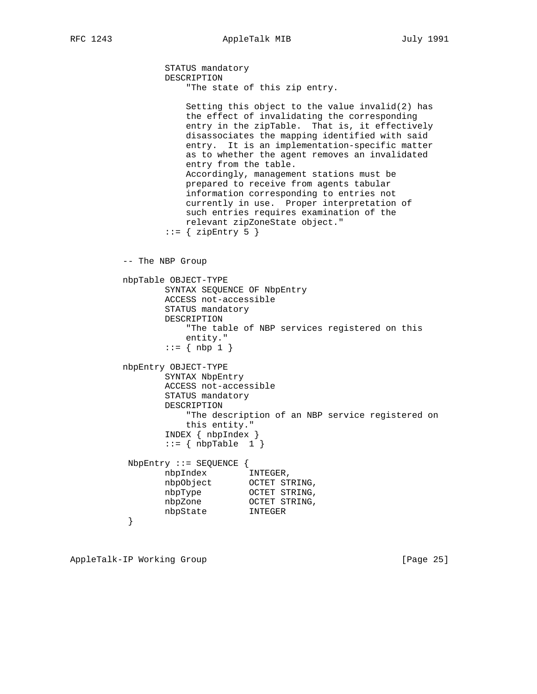```
 STATUS mandatory
                 DESCRIPTION
                     "The state of this zip entry.
                     Setting this object to the value invalid(2) has
                     the effect of invalidating the corresponding
                     entry in the zipTable. That is, it effectively
                     disassociates the mapping identified with said
                     entry. It is an implementation-specific matter
                     as to whether the agent removes an invalidated
                     entry from the table.
                     Accordingly, management stations must be
                     prepared to receive from agents tabular
                     information corresponding to entries not
                     currently in use. Proper interpretation of
                     such entries requires examination of the
                     relevant zipZoneState object."
                ::= { zipEntry 5 }
          -- The NBP Group
          nbpTable OBJECT-TYPE
                 SYNTAX SEQUENCE OF NbpEntry
                 ACCESS not-accessible
                 STATUS mandatory
                 DESCRIPTION
                     "The table of NBP services registered on this
                     entity."
                ::= \{ nbp 1 \} nbpEntry OBJECT-TYPE
                 SYNTAX NbpEntry
                 ACCESS not-accessible
                 STATUS mandatory
                 DESCRIPTION
                     "The description of an NBP service registered on
                     this entity."
                 INDEX { nbpIndex }
                ::= { nbpTable 1 }
           NbpEntry ::= SEQUENCE {
                 nbpIndex INTEGER,
 nbpObject OCTET STRING,
nbpType OCTET STRING,
nbpZone OCTET STRING,
 nbpState INTEGER
 }
```
AppleTalk-IP Working Group **[Page 25]**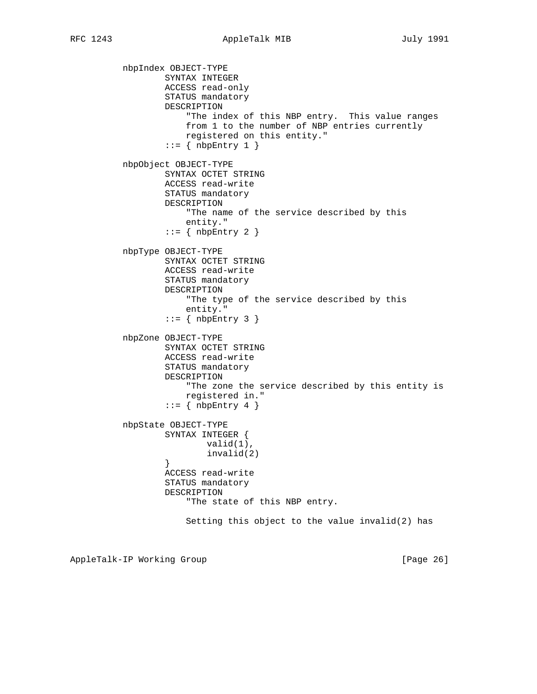nbpIndex OBJECT-TYPE SYNTAX INTEGER ACCESS read-only STATUS mandatory DESCRIPTION "The index of this NBP entry. This value ranges from 1 to the number of NBP entries currently registered on this entity."  $::=$  { nbpEntry 1 } nbpObject OBJECT-TYPE SYNTAX OCTET STRING ACCESS read-write STATUS mandatory DESCRIPTION "The name of the service described by this entity."  $::=$  { nbpEntry 2 } nbpType OBJECT-TYPE SYNTAX OCTET STRING ACCESS read-write STATUS mandatory DESCRIPTION "The type of the service described by this entity."  $::=$  { nbpEntry 3 } nbpZone OBJECT-TYPE SYNTAX OCTET STRING ACCESS read-write STATUS mandatory DESCRIPTION "The zone the service described by this entity is registered in." ::=  $\{ \n *nbpEntry 4* \}$  nbpState OBJECT-TYPE SYNTAX INTEGER { valid(1), invalid(2) } ACCESS read-write STATUS mandatory DESCRIPTION "The state of this NBP entry. Setting this object to the value invalid(2) has

AppleTalk-IP Working Group **[Page 26]** [Page 26]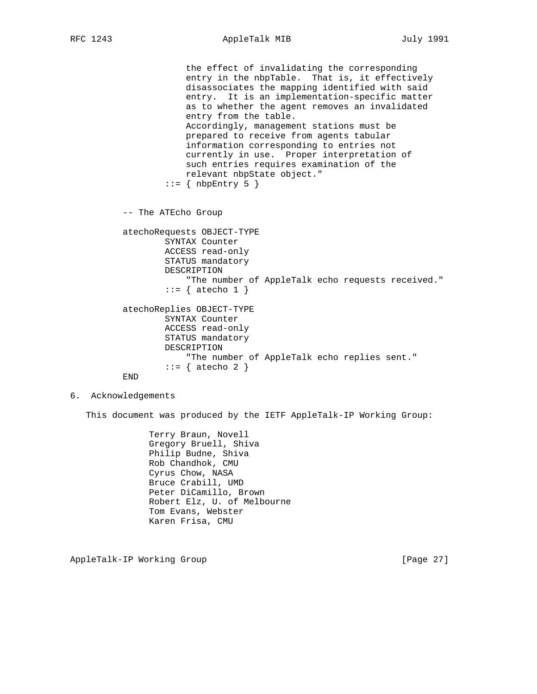the effect of invalidating the corresponding entry in the nbpTable. That is, it effectively disassociates the mapping identified with said entry. It is an implementation-specific matter as to whether the agent removes an invalidated entry from the table. Accordingly, management stations must be prepared to receive from agents tabular information corresponding to entries not currently in use. Proper interpretation of such entries requires examination of the relevant nbpState object."  $::=$  { nbpEntry 5 }

-- The ATEcho Group

```
 atechoRequests OBJECT-TYPE
         SYNTAX Counter
         ACCESS read-only
         STATUS mandatory
         DESCRIPTION
             "The number of AppleTalk echo requests received."
        ::= { atecho 1 }
 atechoReplies OBJECT-TYPE
         SYNTAX Counter
         ACCESS read-only
         STATUS mandatory
         DESCRIPTION
             "The number of AppleTalk echo replies sent."
        ::= { atecho 2 }
```
END

6. Acknowledgements

This document was produced by the IETF AppleTalk-IP Working Group:

 Terry Braun, Novell Gregory Bruell, Shiva Philip Budne, Shiva Rob Chandhok, CMU Cyrus Chow, NASA Bruce Crabill, UMD Peter DiCamillo, Brown Robert Elz, U. of Melbourne Tom Evans, Webster Karen Frisa, CMU

AppleTalk-IP Working Group **[Page 27]** [Page 27]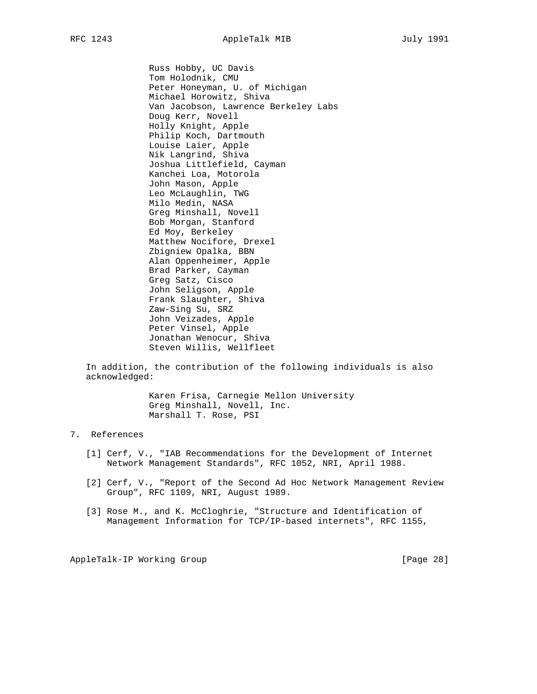Russ Hobby, UC Davis Tom Holodnik, CMU Peter Honeyman, U. of Michigan Michael Horowitz, Shiva Van Jacobson, Lawrence Berkeley Labs Doug Kerr, Novell Holly Knight, Apple Philip Koch, Dartmouth Louise Laier, Apple Nik Langrind, Shiva Joshua Littlefield, Cayman Kanchei Loa, Motorola John Mason, Apple Leo McLaughlin, TWG Milo Medin, NASA Greg Minshall, Novell Bob Morgan, Stanford Ed Moy, Berkeley Matthew Nocifore, Drexel Zbigniew Opalka, BBN Alan Oppenheimer, Apple Brad Parker, Cayman Greg Satz, Cisco John Seligson, Apple Frank Slaughter, Shiva Zaw-Sing Su, SRZ John Veizades, Apple Peter Vinsel, Apple Jonathan Wenocur, Shiva Steven Willis, Wellfleet

 In addition, the contribution of the following individuals is also acknowledged:

> Karen Frisa, Carnegie Mellon University Greg Minshall, Novell, Inc. Marshall T. Rose, PSI

# 7. References

- [1] Cerf, V., "IAB Recommendations for the Development of Internet Network Management Standards", RFC 1052, NRI, April 1988.
- [2] Cerf, V., "Report of the Second Ad Hoc Network Management Review Group", RFC 1109, NRI, August 1989.
- [3] Rose M., and K. McCloghrie, "Structure and Identification of Management Information for TCP/IP-based internets", RFC 1155,

AppleTalk-IP Working Group **[Page 28]**